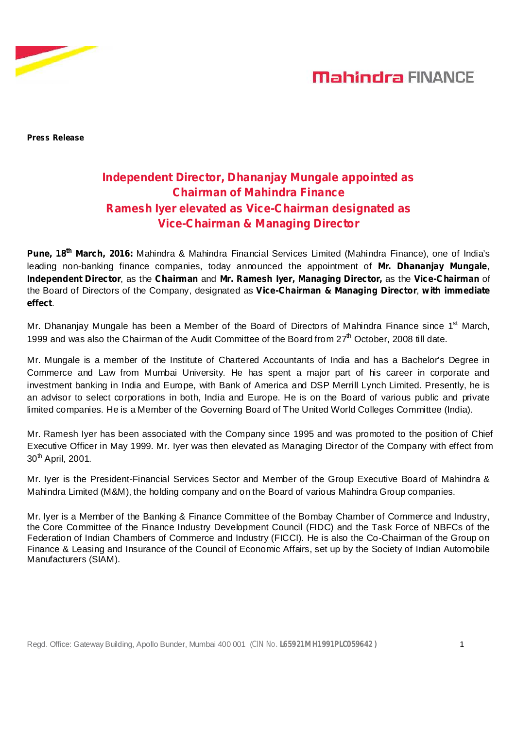

## **Mahindra FINANCE**

**Press Release**

### **Independent Director, Dhananjay Mungale appointed as Chairman of Mahindra Finance Ramesh Iyer elevated as Vice-Chairman designated as Vice-Chairman & Managing Director**

**Pune, 18<sup>th</sup> March, 2016:** Mahindra & Mahindra Financial Services Limited (Mahindra Finance), one of India's leading non-banking finance companies, today announced the appointment of **Mr. Dhananjay Mungale**, **Independent Director**, as the Chairman and Mr. Ramesh Iyer, Managing Director, as the Vice-Chairman of the Board of Directors of the Company, designated as , **Vice-Chairman & Managing Director with immediate** . **effect**

Mr. Dhananjay Mungale has been a Member of the Board of Directors of Mahindra Finance since 1<sup>st</sup> March, 1999 and was also the Chairman of the Audit Committee of the Board from  $27<sup>th</sup>$  October, 2008 till date.

Mr. Mungale is a member of the Institute of Chartered Accountants of India and has a Bachelor's Degree in Commerce and Law from Mumbai University. He has spent a major part of his career in corporate and investment banking in India and Europe, with Bank of America and DSP Merrill Lynch Limited. Presently, he is an advisor to select corporations in both, India and Europe. He is on the Board of various public and private limited companies. He is a Member of the Governing Board of The United World Colleges Committee (India).

Mr. Ramesh Iyer has been associated with the Company since 1995 and was promoted to the position of Chief Executive Officer in May 1999. Mr. Iyer was then elevated as Managing Director of the Company with effect from 30<sup>th</sup> April, 2001.

Mr. Iyer is the President-Financial Services Sector and Member of the Group Executive Board of Mahindra & Mahindra Limited (M&M), the holding company and on the Board of various Mahindra Group companies.

Mr. Iyer is a Member of the Banking & Finance Committee of the Bombay Chamber of Commerce and Industry, the Core Committee of the Finance Industry Development Council (FIDC) and the Task Force of NBFCs of the Federation of Indian Chambers of Commerce and Industry (FICCI). He is also the Co-Chairman of the Group on Finance & Leasing and Insurance of the Council of Economic Affairs, set up by the Society of Indian Automobile Manufacturers (SIAM).